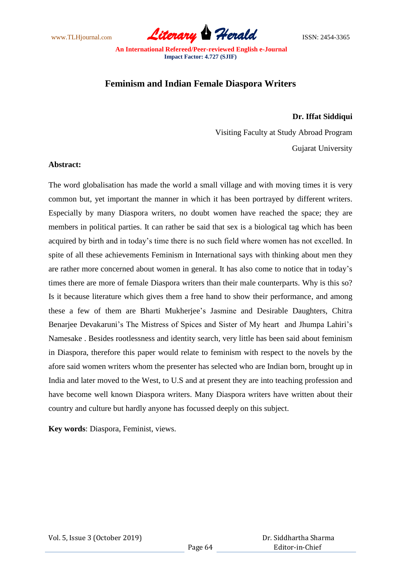www.TLHjournal.com **Literary Herald Herald** ISSN: 2454-3365

# **Feminism and Indian Female Diaspora Writers**

## **Dr. Iffat Siddiqui**

Visiting Faculty at Study Abroad Program Gujarat University

#### **Abstract:**

The word globalisation has made the world a small village and with moving times it is very common but, yet important the manner in which it has been portrayed by different writers. Especially by many Diaspora writers, no doubt women have reached the space; they are members in political parties. It can rather be said that sex is a biological tag which has been acquired by birth and in today"s time there is no such field where women has not excelled. In spite of all these achievements Feminism in International says with thinking about men they are rather more concerned about women in general. It has also come to notice that in today"s times there are more of female Diaspora writers than their male counterparts. Why is this so? Is it because literature which gives them a free hand to show their performance, and among these a few of them are Bharti Mukherjee"s Jasmine and Desirable Daughters, Chitra Benarjee Devakaruni's The Mistress of Spices and Sister of My heart and Jhumpa Lahiri's Namesake . Besides rootlessness and identity search, very little has been said about feminism in Diaspora, therefore this paper would relate to feminism with respect to the novels by the afore said women writers whom the presenter has selected who are Indian born, brought up in India and later moved to the West, to U.S and at present they are into teaching profession and have become well known Diaspora writers. Many Diaspora writers have written about their country and culture but hardly anyone has focussed deeply on this subject.

**Key words**: Diaspora, Feminist, views.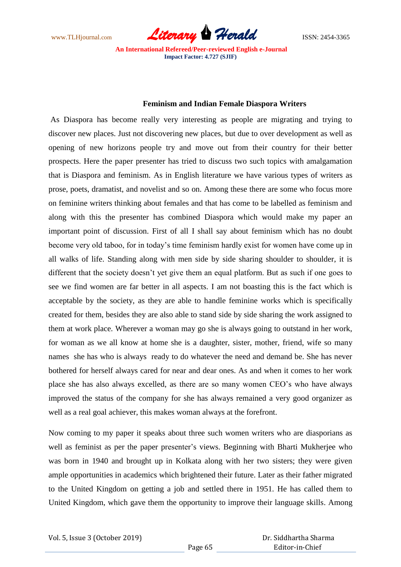www.TLHjournal.com *Literary Herald*ISSN: 2454-3365

#### **Feminism and Indian Female Diaspora Writers**

As Diaspora has become really very interesting as people are migrating and trying to discover new places. Just not discovering new places, but due to over development as well as opening of new horizons people try and move out from their country for their better prospects. Here the paper presenter has tried to discuss two such topics with amalgamation that is Diaspora and feminism. As in English literature we have various types of writers as prose, poets, dramatist, and novelist and so on. Among these there are some who focus more on feminine writers thinking about females and that has come to be labelled as feminism and along with this the presenter has combined Diaspora which would make my paper an important point of discussion. First of all I shall say about feminism which has no doubt become very old taboo, for in today"s time feminism hardly exist for women have come up in all walks of life. Standing along with men side by side sharing shoulder to shoulder, it is different that the society doesn't yet give them an equal platform. But as such if one goes to see we find women are far better in all aspects. I am not boasting this is the fact which is acceptable by the society, as they are able to handle feminine works which is specifically created for them, besides they are also able to stand side by side sharing the work assigned to them at work place. Wherever a woman may go she is always going to outstand in her work, for woman as we all know at home she is a daughter, sister, mother, friend, wife so many names she has who is always ready to do whatever the need and demand be. She has never bothered for herself always cared for near and dear ones. As and when it comes to her work place she has also always excelled, as there are so many women CEO"s who have always improved the status of the company for she has always remained a very good organizer as well as a real goal achiever, this makes woman always at the forefront.

Now coming to my paper it speaks about three such women writers who are diasporians as well as feminist as per the paper presenter's views. Beginning with Bharti Mukherjee who was born in 1940 and brought up in Kolkata along with her two sisters; they were given ample opportunities in academics which brightened their future. Later as their father migrated to the United Kingdom on getting a job and settled there in 1951. He has called them to United Kingdom, which gave them the opportunity to improve their language skills. Among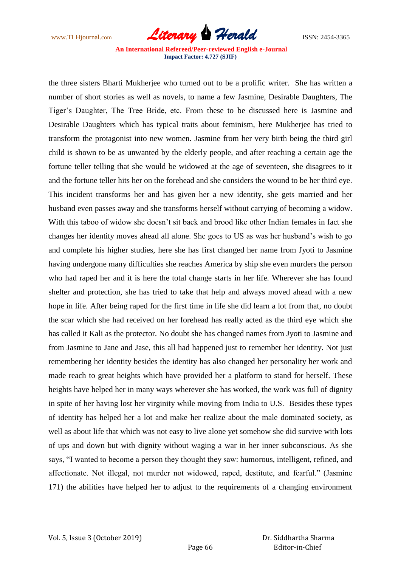www.TLHjournal.com *Literary Herald*ISSN: 2454-3365

the three sisters Bharti Mukherjee who turned out to be a prolific writer. She has written a number of short stories as well as novels, to name a few Jasmine, Desirable Daughters, The Tiger"s Daughter, The Tree Bride, etc. From these to be discussed here is Jasmine and Desirable Daughters which has typical traits about feminism, here Mukherjee has tried to transform the protagonist into new women. Jasmine from her very birth being the third girl child is shown to be as unwanted by the elderly people, and after reaching a certain age the fortune teller telling that she would be widowed at the age of seventeen, she disagrees to it and the fortune teller hits her on the forehead and she considers the wound to be her third eye. This incident transforms her and has given her a new identity, she gets married and her husband even passes away and she transforms herself without carrying of becoming a widow. With this taboo of widow she doesn't sit back and brood like other Indian females in fact she changes her identity moves ahead all alone. She goes to US as was her husband"s wish to go and complete his higher studies, here she has first changed her name from Jyoti to Jasmine having undergone many difficulties she reaches America by ship she even murders the person who had raped her and it is here the total change starts in her life. Wherever she has found shelter and protection, she has tried to take that help and always moved ahead with a new hope in life. After being raped for the first time in life she did learn a lot from that, no doubt the scar which she had received on her forehead has really acted as the third eye which she has called it Kali as the protector. No doubt she has changed names from Jyoti to Jasmine and from Jasmine to Jane and Jase, this all had happened just to remember her identity. Not just remembering her identity besides the identity has also changed her personality her work and made reach to great heights which have provided her a platform to stand for herself. These heights have helped her in many ways wherever she has worked, the work was full of dignity in spite of her having lost her virginity while moving from India to U.S. Besides these types of identity has helped her a lot and make her realize about the male dominated society, as well as about life that which was not easy to live alone yet somehow she did survive with lots of ups and down but with dignity without waging a war in her inner subconscious. As she says, "I wanted to become a person they thought they saw: humorous, intelligent, refined, and affectionate. Not illegal, not murder not widowed, raped, destitute, and fearful." (Jasmine 171) the abilities have helped her to adjust to the requirements of a changing environment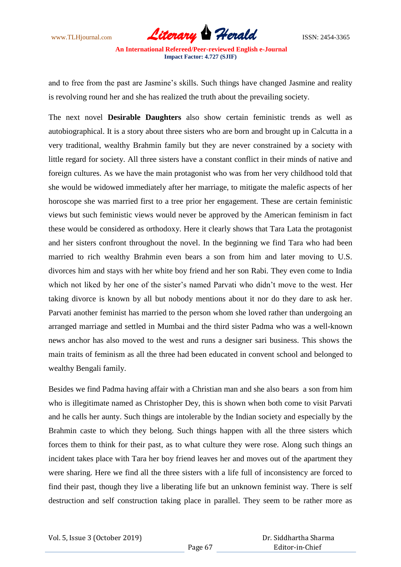www.TLHjournal.com **Literary Herald Herald** ISSN: 2454-3365

and to free from the past are Jasmine's skills. Such things have changed Jasmine and reality is revolving round her and she has realized the truth about the prevailing society.

The next novel **Desirable Daughters** also show certain feministic trends as well as autobiographical. It is a story about three sisters who are born and brought up in Calcutta in a very traditional, wealthy Brahmin family but they are never constrained by a society with little regard for society. All three sisters have a constant conflict in their minds of native and foreign cultures. As we have the main protagonist who was from her very childhood told that she would be widowed immediately after her marriage, to mitigate the malefic aspects of her horoscope she was married first to a tree prior her engagement. These are certain feministic views but such feministic views would never be approved by the American feminism in fact these would be considered as orthodoxy. Here it clearly shows that Tara Lata the protagonist and her sisters confront throughout the novel. In the beginning we find Tara who had been married to rich wealthy Brahmin even bears a son from him and later moving to U.S. divorces him and stays with her white boy friend and her son Rabi. They even come to India which not liked by her one of the sister's named Parvati who didn't move to the west. Her taking divorce is known by all but nobody mentions about it nor do they dare to ask her. Parvati another feminist has married to the person whom she loved rather than undergoing an arranged marriage and settled in Mumbai and the third sister Padma who was a well-known news anchor has also moved to the west and runs a designer sari business. This shows the main traits of feminism as all the three had been educated in convent school and belonged to wealthy Bengali family.

Besides we find Padma having affair with a Christian man and she also bears a son from him who is illegitimate named as Christopher Dey, this is shown when both come to visit Parvati and he calls her aunty. Such things are intolerable by the Indian society and especially by the Brahmin caste to which they belong. Such things happen with all the three sisters which forces them to think for their past, as to what culture they were rose. Along such things an incident takes place with Tara her boy friend leaves her and moves out of the apartment they were sharing. Here we find all the three sisters with a life full of inconsistency are forced to find their past, though they live a liberating life but an unknown feminist way. There is self destruction and self construction taking place in parallel. They seem to be rather more as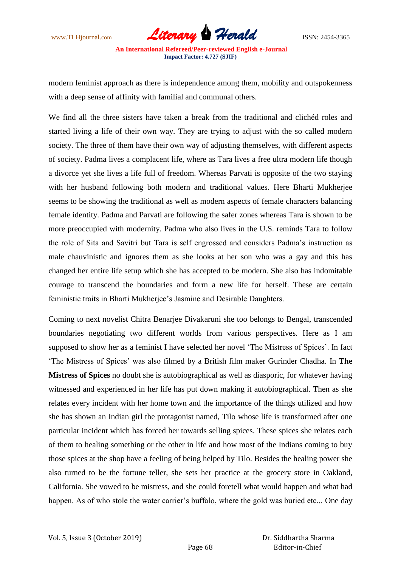www.TLHjournal.com **Literary Herald Herald** ISSN: 2454-3365

modern feminist approach as there is independence among them, mobility and outspokenness with a deep sense of affinity with familial and communal others.

We find all the three sisters have taken a break from the traditional and clichéd roles and started living a life of their own way. They are trying to adjust with the so called modern society. The three of them have their own way of adjusting themselves, with different aspects of society. Padma lives a complacent life, where as Tara lives a free ultra modern life though a divorce yet she lives a life full of freedom. Whereas Parvati is opposite of the two staying with her husband following both modern and traditional values. Here Bharti Mukherjee seems to be showing the traditional as well as modern aspects of female characters balancing female identity. Padma and Parvati are following the safer zones whereas Tara is shown to be more preoccupied with modernity. Padma who also lives in the U.S. reminds Tara to follow the role of Sita and Savitri but Tara is self engrossed and considers Padma"s instruction as male chauvinistic and ignores them as she looks at her son who was a gay and this has changed her entire life setup which she has accepted to be modern. She also has indomitable courage to transcend the boundaries and form a new life for herself. These are certain feministic traits in Bharti Mukherjee"s Jasmine and Desirable Daughters.

Coming to next novelist Chitra Benarjee Divakaruni she too belongs to Bengal, transcended boundaries negotiating two different worlds from various perspectives. Here as I am supposed to show her as a feminist I have selected her novel 'The Mistress of Spices'. In fact "The Mistress of Spices" was also filmed by a British film maker Gurinder Chadha. In **The Mistress of Spices** no doubt she is autobiographical as well as diasporic, for whatever having witnessed and experienced in her life has put down making it autobiographical. Then as she relates every incident with her home town and the importance of the things utilized and how she has shown an Indian girl the protagonist named, Tilo whose life is transformed after one particular incident which has forced her towards selling spices. These spices she relates each of them to healing something or the other in life and how most of the Indians coming to buy those spices at the shop have a feeling of being helped by Tilo. Besides the healing power she also turned to be the fortune teller, she sets her practice at the grocery store in Oakland, California. She vowed to be mistress, and she could foretell what would happen and what had happen. As of who stole the water carrier's buffalo, where the gold was buried etc... One day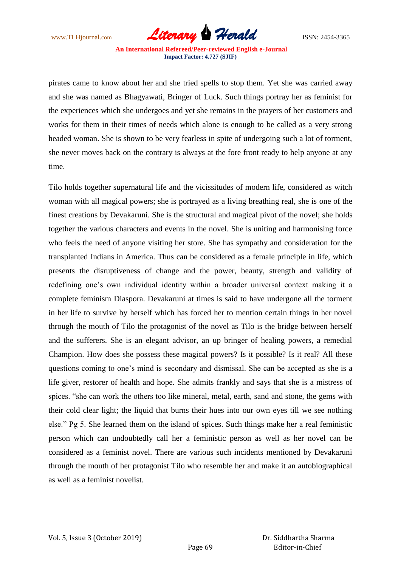www.TLHjournal.com *Literary Herald*ISSN: 2454-3365

pirates came to know about her and she tried spells to stop them. Yet she was carried away and she was named as Bhagyawati, Bringer of Luck. Such things portray her as feminist for the experiences which she undergoes and yet she remains in the prayers of her customers and works for them in their times of needs which alone is enough to be called as a very strong headed woman. She is shown to be very fearless in spite of undergoing such a lot of torment, she never moves back on the contrary is always at the fore front ready to help anyone at any time.

Tilo holds together supernatural life and the vicissitudes of modern life, considered as witch woman with all magical powers; she is portrayed as a living breathing real, she is one of the finest creations by Devakaruni. She is the structural and magical pivot of the novel; she holds together the various characters and events in the novel. She is uniting and harmonising force who feels the need of anyone visiting her store. She has sympathy and consideration for the transplanted Indians in America. Thus can be considered as a female principle in life, which presents the disruptiveness of change and the power, beauty, strength and validity of redefining one's own individual identity within a broader universal context making it a complete feminism Diaspora. Devakaruni at times is said to have undergone all the torment in her life to survive by herself which has forced her to mention certain things in her novel through the mouth of Tilo the protagonist of the novel as Tilo is the bridge between herself and the sufferers. She is an elegant advisor, an up bringer of healing powers, a remedial Champion. How does she possess these magical powers? Is it possible? Is it real? All these questions coming to one"s mind is secondary and dismissal. She can be accepted as she is a life giver, restorer of health and hope. She admits frankly and says that she is a mistress of spices. "she can work the others too like mineral, metal, earth, sand and stone, the gems with their cold clear light; the liquid that burns their hues into our own eyes till we see nothing else." Pg 5. She learned them on the island of spices. Such things make her a real feministic person which can undoubtedly call her a feministic person as well as her novel can be considered as a feminist novel. There are various such incidents mentioned by Devakaruni through the mouth of her protagonist Tilo who resemble her and make it an autobiographical as well as a feminist novelist.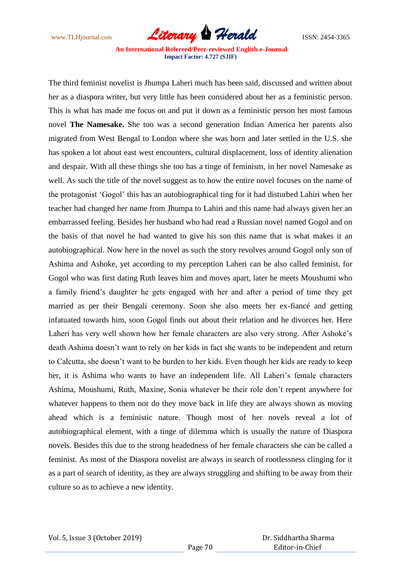www.TLHjournal.com **Literary Herald Herald** ISSN: 2454-3365

The third feminist novelist is Jhumpa Laheri much has been said, discussed and written about her as a diaspora writer, but very little has been considered about her as a feministic person. This is what has made me focus on and put it down as a feministic person her most famous novel **The Namesake.** She too was a second generation Indian America her parents also migrated from West Bengal to London where she was born and later settled in the U.S. she has spoken a lot about east west encounters, cultural displacement, loss of identity alienation and despair. With all these things she too has a tinge of feminism, in her novel Namesake as well. As such the title of the novel suggest as to how the entire novel focuses on the name of the protagonist "Gogol" this has an autobiographical ting for it had disturbed Lahiri when her teacher had changed her name from Jhumpa to Lahiri and this name had always given her an embarrassed feeling. Besides her husband who had read a Russian novel named Gogol and on the basis of that novel he had wanted to give his son this name that is what makes it an autobiographical. Now here in the novel as such the story revolves around Gogol only son of Ashima and Ashoke, yet according to my perception Laheri can be also called feminist, for Gogol who was first dating Ruth leaves him and moves apart, later he meets Moushumi who a family friend"s daughter he gets engaged with her and after a period of time they get married as per their Bengali ceremony. Soon she also meets her ex-fiancé and getting infatuated towards him, soon Gogol finds out about their relation and he divorces her. Here Laheri has very well shown how her female characters are also very strong. After Ashoke"s death Ashima doesn"t want to rely on her kids in fact she wants to be independent and return to Calcutta, she doesn"t want to be burden to her kids. Even though her kids are ready to keep her, it is Ashima who wants to have an independent life. All Laheri"s female characters Ashima, Moushumi, Ruth, Maxine, Sonia whatever be their role don"t repent anywhere for whatever happens to them nor do they move back in life they are always shown as moving ahead which is a feministic nature. Though most of her novels reveal a lot of autobiographical element, with a tinge of dilemma which is usually the nature of Diaspora novels. Besides this due to the strong headedness of her female characters she can be called a feminist. As most of the Diaspora novelist are always in search of rootlessness clinging for it as a part of search of identity, as they are always struggling and shifting to be away from their culture so as to achieve a new identity.